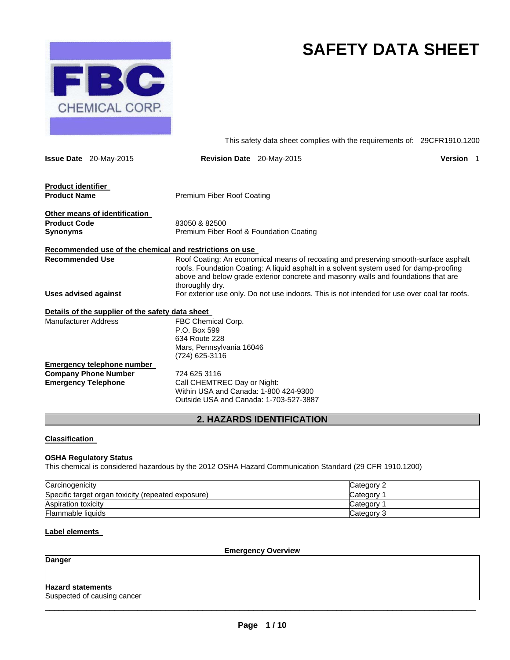

# **SAFETY DATA SHEET**

This safety data sheet complies with the requirements of: 29CFR1910.1200

|                             | <b>Issue Date</b> 20-May-2015                    | <b>Revision Date</b> 20-May-2015                                                                               | Version 1                                                                                                                                                                                                                                                            |  |
|-----------------------------|--------------------------------------------------|----------------------------------------------------------------------------------------------------------------|----------------------------------------------------------------------------------------------------------------------------------------------------------------------------------------------------------------------------------------------------------------------|--|
| <b>Product identifier</b>   |                                                  |                                                                                                                |                                                                                                                                                                                                                                                                      |  |
| <b>Product Name</b>         |                                                  | <b>Premium Fiber Roof Coating</b>                                                                              |                                                                                                                                                                                                                                                                      |  |
|                             | Other means of identification                    |                                                                                                                |                                                                                                                                                                                                                                                                      |  |
| <b>Product Code</b>         |                                                  | 83050 & 82500                                                                                                  |                                                                                                                                                                                                                                                                      |  |
| Synonyms                    |                                                  | Premium Fiber Roof & Foundation Coating                                                                        |                                                                                                                                                                                                                                                                      |  |
|                             |                                                  | Recommended use of the chemical and restrictions on use                                                        |                                                                                                                                                                                                                                                                      |  |
| <b>Recommended Use</b>      |                                                  | thoroughly dry.                                                                                                | Roof Coating: An economical means of recoating and preserving smooth-surface asphalt<br>roofs. Foundation Coating: A liquid asphalt in a solvent system used for damp-proofing<br>above and below grade exterior concrete and masonry walls and foundations that are |  |
| <b>Uses advised against</b> |                                                  | For exterior use only. Do not use indoors. This is not intended for use over coal tar roofs.                   |                                                                                                                                                                                                                                                                      |  |
|                             | Details of the supplier of the safety data sheet |                                                                                                                |                                                                                                                                                                                                                                                                      |  |
| Manufacturer Address        |                                                  | FBC Chemical Corp.<br>P.O. Box 599<br>634 Route 228<br>Mars, Pennsylvania 16046<br>(724) 625-3116              |                                                                                                                                                                                                                                                                      |  |
|                             | <u>Emergency telephone number</u>                |                                                                                                                |                                                                                                                                                                                                                                                                      |  |
|                             | <b>Company Phone Number</b>                      | 724 625 3116                                                                                                   |                                                                                                                                                                                                                                                                      |  |
| <b>Emergency Telephone</b>  |                                                  | Call CHEMTREC Day or Night:<br>Within USA and Canada: 1-800 424-9300<br>Outside USA and Canada: 1-703-527-3887 |                                                                                                                                                                                                                                                                      |  |
|                             |                                                  |                                                                                                                |                                                                                                                                                                                                                                                                      |  |

# **2. HAZARDS IDENTIFICATION**

# **Classification**

# **OSHA Regulatory Status**

This chemical is considered hazardous by the 2012 OSHA Hazard Communication Standard (29 CFR 1910.1200)

| Carcinogenicity                                    | Category 2 |
|----------------------------------------------------|------------|
| Specific target organ toxicity (repeated exposure) | Category   |
| Aspiration toxicity                                | Category   |
| Flammable liquids                                  | Category 3 |

# **Label elements**

**Emergency Overview** 

# **Danger**

# **Hazard statements**

Suspected of causing cancer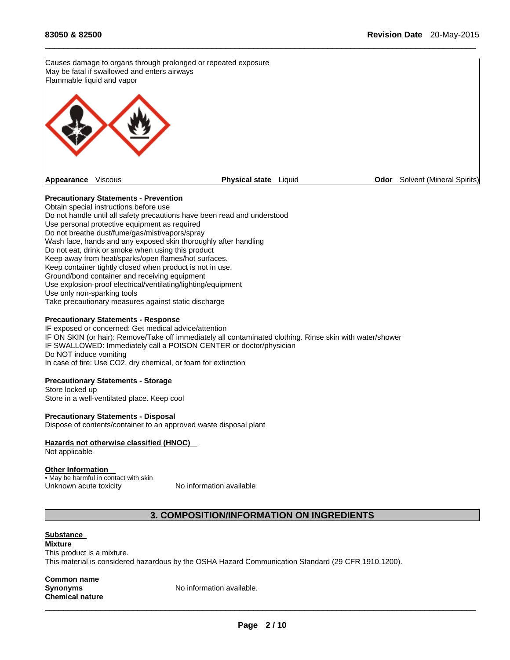Causes damage to organs through prolonged or repeated exposure May be fatal if swallowed and enters airways Flammable liquid and vapor **Appearance** Viscous **Physical state** Liquid **Odor** Solvent (Mineral Spirits)

 $\Box$ 

# **Precautionary Statements - Prevention**

Obtain special instructions before use Do not handle until all safety precautions have been read and understood Use personal protective equipment as required Do not breathe dust/fume/gas/mist/vapors/spray Wash face, hands and any exposed skin thoroughly after handling Do not eat, drink or smoke when using this product Keep away from heat/sparks/open flames/hot surfaces. Keep container tightly closed when product is not in use. Ground/bond container and receiving equipment Use explosion-proof electrical/ventilating/lighting/equipment Use only non-sparking tools Take precautionary measures against static discharge

#### **Precautionary Statements - Response**

IF exposed or concerned: Get medical advice/attention IF ON SKIN (or hair): Remove/Take off immediately all contaminated clothing. Rinse skin with water/shower IF SWALLOWED: Immediately call a POISON CENTER or doctor/physician Do NOT induce vomiting In case of fire: Use CO2, dry chemical, or foam for extinction

#### **Precautionary Statements - Storage**

Store locked up Store in a well-ventilated place. Keep cool

**Precautionary Statements - Disposal**  Dispose of contents/container to an approved waste disposal plant

### **Hazards not otherwise classified (HNOC)**

Not applicable

#### **Other Information**

• May be harmful in contact with skin Unknown acute toxicity No information available

# **3. COMPOSITION/INFORMATION ON INGREDIENTS**

### **Substance**

**Mixture** 

This product is a mixture. This material is considered hazardous by the OSHA Hazard Communication Standard (29 CFR 1910.1200).

**Common name Chemical nature** 

**Synonyms** No information available.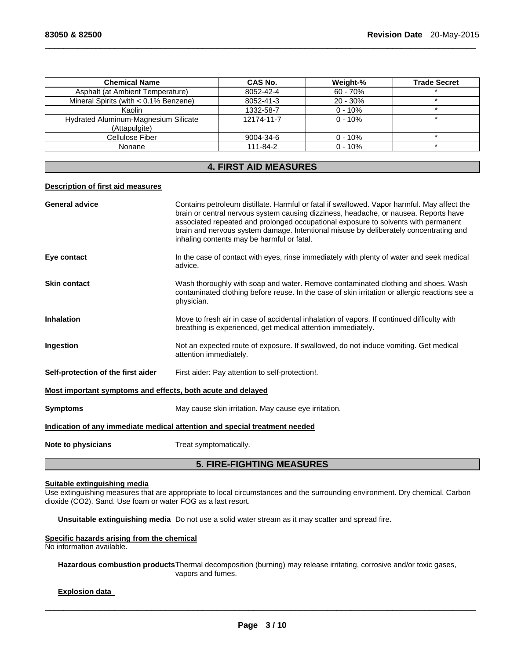| <b>Chemical Name</b>                                  | CAS No.    | Weight-%   | <b>Trade Secret</b> |
|-------------------------------------------------------|------------|------------|---------------------|
| Asphalt (at Ambient Temperature)                      | 8052-42-4  | $60 - 70%$ |                     |
| Mineral Spirits (with $< 0.1\%$ Benzene)              | 8052-41-3  | $20 - 30%$ |                     |
| Kaolin                                                | 1332-58-7  | $0 - 10%$  |                     |
| Hydrated Aluminum-Magnesium Silicate<br>(Attapulgite) | 12174-11-7 | $0 - 10%$  |                     |
| Cellulose Fiber                                       | 9004-34-6  | $0 - 10\%$ |                     |
| Nonane                                                | 111-84-2   | $0 - 10%$  |                     |

 $\Box$ 

# **4. FIRST AID MEASURES**

# **Description of first aid measures**

| <b>General advice</b>                                       | Contains petroleum distillate. Harmful or fatal if swallowed. Vapor harmful. May affect the<br>brain or central nervous system causing dizziness, headache, or nausea. Reports have                                       |
|-------------------------------------------------------------|---------------------------------------------------------------------------------------------------------------------------------------------------------------------------------------------------------------------------|
|                                                             | associated repeated and prolonged occupational exposure to solvents with permanent<br>brain and nervous system damage. Intentional misuse by deliberately concentrating and<br>inhaling contents may be harmful or fatal. |
| Eye contact                                                 | In the case of contact with eyes, rinse immediately with plenty of water and seek medical<br>advice.                                                                                                                      |
| <b>Skin contact</b>                                         | Wash thoroughly with soap and water. Remove contaminated clothing and shoes. Wash<br>contaminated clothing before reuse. In the case of skin irritation or allergic reactions see a<br>physician.                         |
| <b>Inhalation</b>                                           | Move to fresh air in case of accidental inhalation of vapors. If continued difficulty with<br>breathing is experienced, get medical attention immediately.                                                                |
| Ingestion                                                   | Not an expected route of exposure. If swallowed, do not induce vomiting. Get medical<br>attention immediately.                                                                                                            |
| Self-protection of the first aider                          | First aider: Pay attention to self-protection!.                                                                                                                                                                           |
| Most important symptoms and effects, both acute and delayed |                                                                                                                                                                                                                           |
| <b>Symptoms</b>                                             | May cause skin irritation. May cause eye irritation.                                                                                                                                                                      |
|                                                             | Indication of any immediate medical attention and special treatment needed                                                                                                                                                |
| Note to physicians                                          | Treat symptomatically.                                                                                                                                                                                                    |
|                                                             | <b>5. FIRE-FIGHTING MEASURES</b>                                                                                                                                                                                          |

#### **Suitable extinguishing media**

Use extinguishing measures that are appropriate to local circumstances and the surrounding environment. Dry chemical. Carbon dioxide (CO2). Sand. Use foam or water FOG as a last resort.

**Unsuitable extinguishing media** Do not use a solid water stream as it may scatter and spread fire.

#### **Specific hazards arising from the chemical**

No information available.

**Hazardous combustion products** Thermal decomposition (burning) may release irritating, corrosive and/or toxic gases, vapors and fumes.

# **Explosion data**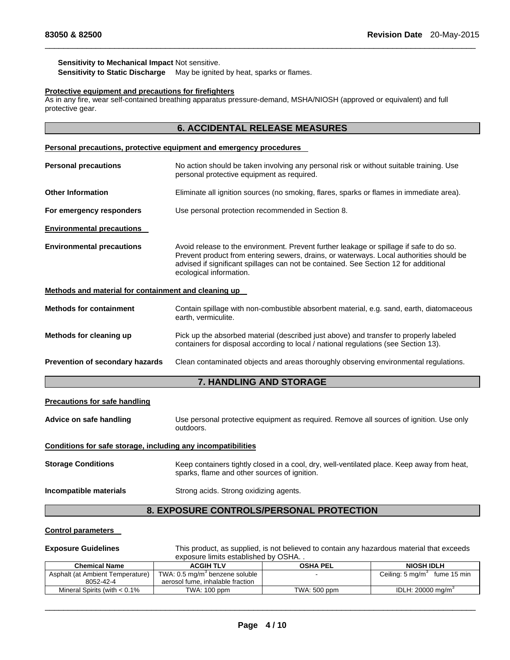### **Sensitivity to Mechanical Impact** Not sensitive.

**Sensitivity to Static Discharge** May be ignited by heat, sparks or flames.

# **Protective equipment and precautions for firefighters**

As in any fire, wear self-contained breathing apparatus pressure-demand, MSHA/NIOSH (approved or equivalent) and full protective gear.

# **6. ACCIDENTAL RELEASE MEASURES**

 $\Box$ 

# **Personal precautions, protective equipment and emergency procedures**

| <b>Personal precautions</b>                          | No action should be taken involving any personal risk or without suitable training. Use<br>personal protective equipment as required.                                                                                                                                                                 |
|------------------------------------------------------|-------------------------------------------------------------------------------------------------------------------------------------------------------------------------------------------------------------------------------------------------------------------------------------------------------|
| <b>Other Information</b>                             | Eliminate all ignition sources (no smoking, flares, sparks or flames in immediate area).                                                                                                                                                                                                              |
| For emergency responders                             | Use personal protection recommended in Section 8.                                                                                                                                                                                                                                                     |
| <b>Environmental precautions</b>                     |                                                                                                                                                                                                                                                                                                       |
| <b>Environmental precautions</b>                     | Avoid release to the environment. Prevent further leakage or spillage if safe to do so.<br>Prevent product from entering sewers, drains, or waterways. Local authorities should be<br>advised if significant spillages can not be contained. See Section 12 for additional<br>ecological information. |
| Methods and material for containment and cleaning up |                                                                                                                                                                                                                                                                                                       |
| <b>Methods for containment</b>                       | Contain spillage with non-combustible absorbent material, e.g. sand, earth, diatomaceous<br>earth, vermiculite.                                                                                                                                                                                       |
| Methods for cleaning up                              | Pick up the absorbed material (described just above) and transfer to properly labeled<br>containers for disposal according to local / national regulations (see Section 13).                                                                                                                          |
| Prevention of secondary hazards                      | Clean contaminated objects and areas thoroughly observing environmental regulations.                                                                                                                                                                                                                  |
|                                                      | <b>7. HANDLING AND STORAGE</b>                                                                                                                                                                                                                                                                        |

### **Precautions for safe handling**

**Advice on safe handling** Use personal protective equipment as required. Remove all sources of ignition. Use only outdoors.

# **Conditions for safe storage, including any incompatibilities**

| <b>Storage Conditions</b> | Keep containers tightly closed in a cool, dry, well-ventilated place. Keep away from heat,<br>sparks, flame and other sources of ignition. |
|---------------------------|--------------------------------------------------------------------------------------------------------------------------------------------|
| Incompatible materials    | Strong acids. Strong oxidizing agents.                                                                                                     |

# **8. EXPOSURE CONTROLS/PERSONAL PROTECTION**

#### **Control parameters**

**Exposure Guidelines** This product, as supplied, is not believed to contain any hazardous material that exceeds exposure limits established by OSHA. .

| <b>Chemical Name</b>              | <b>ACGIH TLV</b>                           | <b>OSHA PEL</b> | <b>NIOSH IDLH</b>                          |
|-----------------------------------|--------------------------------------------|-----------------|--------------------------------------------|
| Asphalt (at Ambient Temperature)  | TWA: 0.5 mg/m <sup>3</sup> benzene soluble |                 | Ceiling: $5 \text{ mg/m}^3$<br>fume 15 min |
| 8052-42-4                         | aerosol fume, inhalable fraction           |                 |                                            |
| Mineral Spirits (with $< 0.1\%$ ) | TWA: 100 ppm                               | TWA: 500 ppm    | IDLH: $20000 \text{ ma/m}^3$               |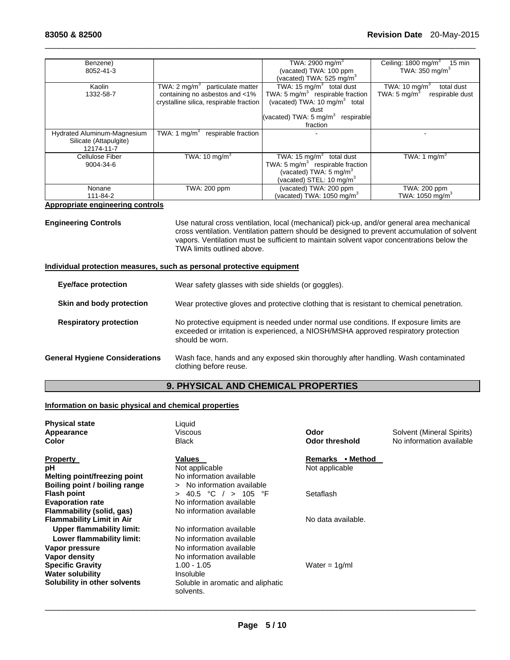| Benzene)<br>8052-41-3                                               |                                                                                                                            | TWA: 2900 mg/m <sup>3</sup><br>(vacated) TWA: 100 ppm                                                                                                       | Ceiling: 1800 mg/m <sup>3</sup><br>15 min<br>TWA: $350 \text{ mg/m}^3$                |
|---------------------------------------------------------------------|----------------------------------------------------------------------------------------------------------------------------|-------------------------------------------------------------------------------------------------------------------------------------------------------------|---------------------------------------------------------------------------------------|
|                                                                     |                                                                                                                            | (vacated) TWA: 525 mg/m <sup>3</sup>                                                                                                                        |                                                                                       |
| Kaolin<br>1332-58-7                                                 | TWA: $2 \text{ mq/m}^3$<br>particulate matter<br>containing no asbestos and <1%<br>crystalline silica, respirable fraction | TWA: 15 $mg/m3$ total dust<br>TWA: 5 mg/m <sup>3</sup> respirable fraction<br>(vacated) TWA: 10 mg/m <sup>3</sup> total                                     | TWA: 10 mg/m <sup>3</sup><br>total dust<br>TWA: $5 \text{ mg/m}^3$<br>respirable dust |
|                                                                     |                                                                                                                            | dust                                                                                                                                                        |                                                                                       |
|                                                                     |                                                                                                                            | (vacated) TWA: $5 \text{ mg/m}^3$<br>respirable                                                                                                             |                                                                                       |
|                                                                     |                                                                                                                            | fraction                                                                                                                                                    |                                                                                       |
| Hydrated Aluminum-Magnesium<br>Silicate (Attapulgite)<br>12174-11-7 | TWA: 1 $mq/m3$<br>respirable fraction                                                                                      |                                                                                                                                                             |                                                                                       |
| Cellulose Fiber<br>9004-34-6                                        | TWA: 10 mg/m <sup>3</sup>                                                                                                  | TWA: $15 \text{ mg/m}^3$<br>total dust<br>TWA: 5 mg/ $m^3$ respirable fraction<br>(vacated) TWA: $5 \text{ mg/m}^3$<br>(vacated) STEL: 10 mg/m <sup>3</sup> | TWA: 1 mg/m <sup>3</sup>                                                              |
| Nonane<br>111-84-2                                                  | TWA: 200 ppm                                                                                                               | (vacated) TWA: 200 ppm<br>(vacated) TWA: 1050 $ma/m3$                                                                                                       | TWA: 200 ppm<br>TWA: 1050 mg/m $3$                                                    |

 $\Box$ 

# **Appropriate engineering controls**

**Engineering Controls** Use natural cross ventilation, local (mechanical) pick-up, and/or general area mechanical cross ventilation. Ventilation pattern should be designed to prevent accumulation of solvent vapors. Ventilation must be sufficient to maintain solvent vapor concentrations below the TWA limits outlined above.

# **Individual protection measures, such as personal protective equipment**

| <b>Eye/face protection</b>            | Wear safety glasses with side shields (or goggles).                                                                                                                                             |
|---------------------------------------|-------------------------------------------------------------------------------------------------------------------------------------------------------------------------------------------------|
| Skin and body protection              | Wear protective gloves and protective clothing that is resistant to chemical penetration.                                                                                                       |
| <b>Respiratory protection</b>         | No protective equipment is needed under normal use conditions. If exposure limits are<br>exceeded or irritation is experienced, a NIOSH/MSHA approved respiratory protection<br>should be worn. |
| <b>General Hygiene Considerations</b> | Wash face, hands and any exposed skin thoroughly after handling. Wash contaminated<br>clothing before reuse.                                                                                    |

# **9. PHYSICAL AND CHEMICAL PROPERTIES**

# **Information on basic physical and chemical properties**

| <b>Physical state</b>            | Liquid                                         |                            |                           |
|----------------------------------|------------------------------------------------|----------------------------|---------------------------|
| <b>Appearance</b>                | Viscous                                        | Odor                       | Solvent (Mineral Spirits) |
| Color                            | <b>Black</b>                                   | <b>Odor threshold</b>      | No information available  |
| <b>Property</b>                  | Values                                         | • Method<br><b>Remarks</b> |                           |
| рH                               | Not applicable                                 | Not applicable             |                           |
| Melting point/freezing point     | No information available                       |                            |                           |
| Boiling point / boiling range    | No information available<br>$\geq$             |                            |                           |
| Flash point                      | 40.5 °C / > 105 °F<br>$\geq$                   | Setaflash                  |                           |
| <b>Evaporation rate</b>          | No information available                       |                            |                           |
| Flammability (solid, gas)        | No information available                       |                            |                           |
| <b>Flammability Limit in Air</b> |                                                | No data available.         |                           |
| Upper flammability limit:        | No information available                       |                            |                           |
| Lower flammability limit:        | No information available                       |                            |                           |
| Vapor pressure                   | No information available                       |                            |                           |
| Vapor density                    | No information available                       |                            |                           |
| <b>Specific Gravity</b>          | $1.00 - 1.05$                                  | Water = $1q/ml$            |                           |
| Water solubility                 | Insoluble                                      |                            |                           |
| Solubility in other solvents     | Soluble in aromatic and aliphatic<br>solvents. |                            |                           |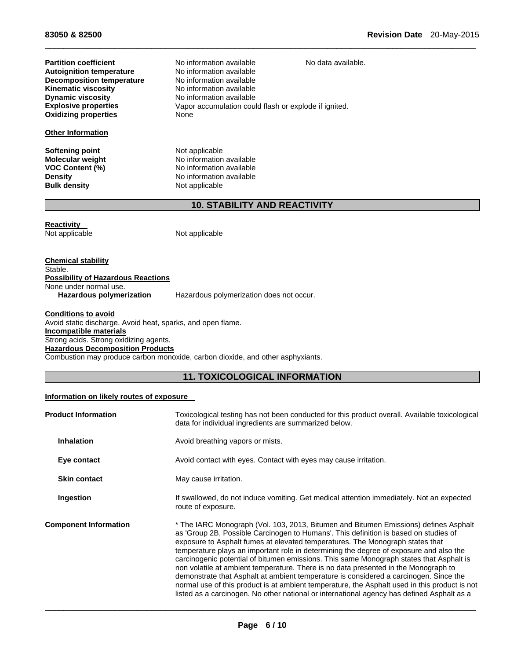**Autoignition temperature No information available**<br> **Decomposition temperature No information available Decomposition temperature<br>Kinematic viscosity Kinematic viscosity**<br> **No information available**<br> **No information available Dynamic viscosity**<br> **Explosive properties**<br>
Vapor accumulation coul **Oxidizing properties** 

# **Other Information**

**Softening point Not applicable**<br> **Molecular weight Not applicable** 

**Partition coefficient No information available** No data available.<br> **Autoignition temperature** No information available Vapor accumulation could flash or explode if ignited.<br>None

 $\Box$ 

**Molecular weight 1998 CONNET IN SOLUTE IN A VOC Content (%)**<br>
No information available **No information available Density Density Density No information available Bulk density Not Note applicable Not applicable** 

# **10. STABILITY AND REACTIVITY**

**Reactivity**  Not applicable Not applicable

**Chemical stability**  Stable. **Possibility of Hazardous Reactions**  None under normal use. **Hazardous polymerization** Hazardous polymerization does not occur.

**Conditions to avoid**  Avoid static discharge. Avoid heat, sparks, and open flame. **Incompatible materials**  Strong acids. Strong oxidizing agents. **Hazardous Decomposition Products**  Combustion may produce carbon monoxide, carbon dioxide, and other asphyxiants.

# **11. TOXICOLOGICAL INFORMATION**

# **Information on likely routes of exposure**

| <b>Product Information</b>   | Toxicological testing has not been conducted for this product overall. Available toxicological<br>data for individual ingredients are summarized below.                                                                                                                                                                                                                                                                                                                                                                                                                                                                                                                                                                                                                                                                           |  |
|------------------------------|-----------------------------------------------------------------------------------------------------------------------------------------------------------------------------------------------------------------------------------------------------------------------------------------------------------------------------------------------------------------------------------------------------------------------------------------------------------------------------------------------------------------------------------------------------------------------------------------------------------------------------------------------------------------------------------------------------------------------------------------------------------------------------------------------------------------------------------|--|
| <b>Inhalation</b>            | Avoid breathing vapors or mists.                                                                                                                                                                                                                                                                                                                                                                                                                                                                                                                                                                                                                                                                                                                                                                                                  |  |
| Eye contact                  | Avoid contact with eyes. Contact with eyes may cause irritation.                                                                                                                                                                                                                                                                                                                                                                                                                                                                                                                                                                                                                                                                                                                                                                  |  |
| <b>Skin contact</b>          | May cause irritation.                                                                                                                                                                                                                                                                                                                                                                                                                                                                                                                                                                                                                                                                                                                                                                                                             |  |
| Ingestion                    | If swallowed, do not induce vomiting. Get medical attention immediately. Not an expected<br>route of exposure.                                                                                                                                                                                                                                                                                                                                                                                                                                                                                                                                                                                                                                                                                                                    |  |
| <b>Component Information</b> | * The IARC Monograph (Vol. 103, 2013, Bitumen and Bitumen Emissions) defines Asphalt<br>as 'Group 2B, Possible Carcinogen to Humans'. This definition is based on studies of<br>exposure to Asphalt fumes at elevated temperatures. The Monograph states that<br>temperature plays an important role in determining the degree of exposure and also the<br>carcinogenic potential of bitumen emissions. This same Monograph states that Asphalt is<br>non volatile at ambient temperature. There is no data presented in the Monograph to<br>demonstrate that Asphalt at ambient temperature is considered a carcinogen. Since the<br>normal use of this product is at ambient temperature, the Asphalt used in this product is not<br>listed as a carcinogen. No other national or international agency has defined Asphalt as a |  |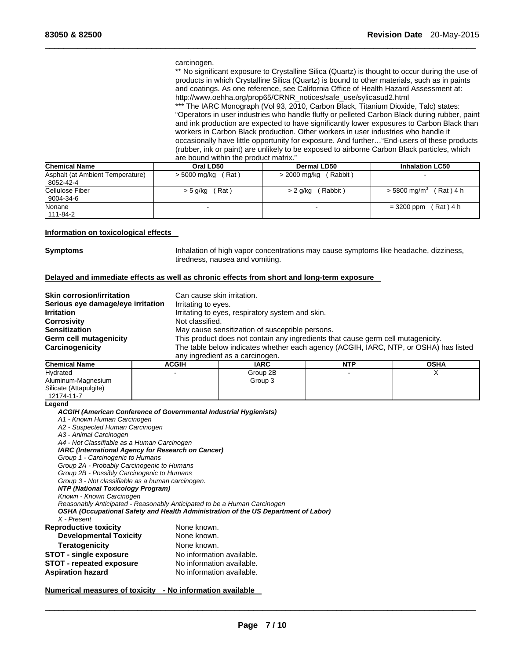#### carcinogen.

\*\* No significant exposure to Crystalline Silica (Quartz) is thought to occur during the use of products in which Crystalline Silica (Quartz) is bound to other materials, such as in paints and coatings. As one reference, see California Office of Health Hazard Assessment at: http://www.oehha.org/prop65/CRNR\_notices/safe\_use/sylicasud2.html

\*\*\* The IARC Monograph (Vol 93, 2010, Carbon Black, Titanium Dioxide, Talc) states: "Operators in user industries who handle fluffy or pelleted Carbon Black during rubber, paint and ink production are expected to have significantly lower exposures to Carbon Black than workers in Carbon Black production. Other workers in user industries who handle it occasionally have little opportunity for exposure. And further…"End-users of these products (rubber, ink or paint) are unlikely to be exposed to airborne Carbon Black particles, which are bound within the product matrix."

| <b>Chemical Name</b>             | Oral LD50    | <b>Dermal LD50</b> | <b>Inhalation LC50</b>      |
|----------------------------------|--------------|--------------------|-----------------------------|
| Asphalt (at Ambient Temperature) | Rat)         | (Rabbit)           |                             |
| 8052-42-4                        | > 5000 mg/kg | > 2000 mg/kg       |                             |
| Cellulose Fiber                  | Rat)         | (Rabbit)           | Rat ) 4 h                   |
| 9004-34-6                        | > 5 g/kg     | > 2 g/kg           | $> 5800$ mg/m <sup>3</sup>  |
| Nonane<br>111-84-2               |              |                    | $(Rat)$ 4 h<br>$= 3200$ ppm |

 $\Box$ 

# **Information on toxicological effects**

**Symptoms Inhalation of high vapor concentrations may cause symptoms like headache, dizziness,** tiredness, nausea and vomiting.

# **Delayed and immediate effects as well as chronic effects from short and long-term exposure**

| <b>Skin corrosion/irritation</b><br>Serious eye damage/eye irritation | Can cause skin irritation.<br>Irritating to eyes.                                    |
|-----------------------------------------------------------------------|--------------------------------------------------------------------------------------|
| <b>Irritation</b>                                                     | Irritating to eyes, respiratory system and skin.                                     |
| <b>Corrosivity</b>                                                    | Not classified.                                                                      |
| <b>Sensitization</b>                                                  | May cause sensitization of susceptible persons.                                      |
| Germ cell mutagenicity                                                | This product does not contain any ingredients that cause germ cell mutagenicity.     |
| Carcinogenicity                                                       | The table below indicates whether each agency (ACGIH, IARC, NTP, or OSHA) has listed |
|                                                                       | any ingredient as a carcinogen.                                                      |

| <b>Chemical Name</b>   | <b>ACGIH</b> | <b>IARC</b> | <b>NTP</b> | <b>OSHA</b> |
|------------------------|--------------|-------------|------------|-------------|
| Hydrated               | -            | Group 2B    |            |             |
| Aluminum-Magnesium     |              | Group 3     |            |             |
| Silicate (Attapulgite) |              |             |            |             |
| 12174-11-7             |              |             |            |             |

**Legend** 

# *ACGIH (American Conference of Governmental Industrial Hygienists)*

*A1 - Known Human Carcinogen* 

*A2 - Suspected Human Carcinogen* 

*A3 - Animal Carcinogen* 

*A4 - Not Classifiable as a Human Carcinogen IARC (International Agency for Research on Cancer)* 

*Group 1 - Carcinogenic to Humans* 

*Group 2A - Probably Carcinogenic to Humans* 

*Group 2B - Possibly Carcinogenic to Humans* 

*Group 3 - Not classifiable as a human carcinogen.* 

#### *NTP (National Toxicology Program)*

*Known - Known Carcinogen* 

*Reasonably Anticipated - Reasonably Anticipated to be a Human Carcinogen* 

*OSHA (Occupational Safety and Health Administration of the US Department of Labor)* 

*X - Present* 

| <b>Reproductive toxicity</b>    | None known.               |  |
|---------------------------------|---------------------------|--|
| <b>Developmental Toxicity</b>   | None known.               |  |
| <b>Teratogenicity</b>           | None known.               |  |
| <b>STOT - single exposure</b>   | No information available. |  |
| <b>STOT - repeated exposure</b> | No information available. |  |
| <b>Aspiration hazard</b>        | No information available. |  |

## **Numerical measures of toxicity - No information available**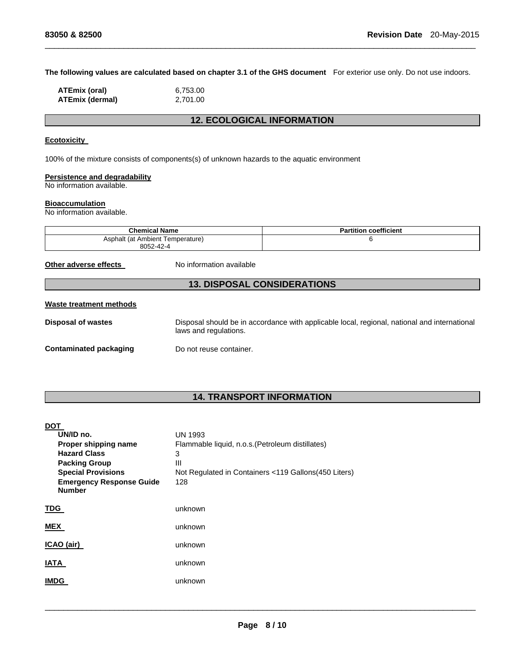**The following values are calculated based on chapter 3.1 of the GHS document** For exterior use only. Do not use indoors.

 $\Box$ 

| ATEmix (oral)          | 6,753.00 |
|------------------------|----------|
| <b>ATEmix (dermal)</b> | 2,701.00 |

# **12. ECOLOGICAL INFORMATION**

# **Ecotoxicity**

100% of the mixture consists of components(s) of unknown hazards to the aquatic environment

# **Persistence and degradability**

No information available.

# **Bioaccumulation**

No information available.

| <b>Chemical Name</b>             | <b>Partition coefficient</b> |  |
|----------------------------------|------------------------------|--|
| Asphalt (at Ambient Temperature) |                              |  |
| 8052-42-4                        |                              |  |

**Other adverse effects** No information available

# **13. DISPOSAL CONSIDERATIONS**

# **Waste treatment methods**

| <b>Disposal of wastes</b> | Disposal should be in accordance with applicable local, regional, national and international<br>laws and regulations. |
|---------------------------|-----------------------------------------------------------------------------------------------------------------------|
| Contaminated packaging    | Do not reuse container.                                                                                               |

# **14. TRANSPORT INFORMATION**

| <b>DOT</b>                                       |                                                      |
|--------------------------------------------------|------------------------------------------------------|
| UN/ID no.                                        | <b>UN 1993</b>                                       |
| Proper shipping name                             | Flammable liquid, n.o.s. (Petroleum distillates)     |
| <b>Hazard Class</b>                              | 3                                                    |
| <b>Packing Group</b>                             | Ш                                                    |
| <b>Special Provisions</b>                        | Not Regulated in Containers <119 Gallons(450 Liters) |
| <b>Emergency Response Guide</b><br><b>Number</b> | 128                                                  |
| <b>TDG</b>                                       | unknown                                              |
| <b>MEX</b>                                       | unknown                                              |
| ICAO (air)                                       | unknown                                              |
| <b>IATA</b>                                      | unknown                                              |
| <b>IMDG</b>                                      | unknown                                              |
|                                                  |                                                      |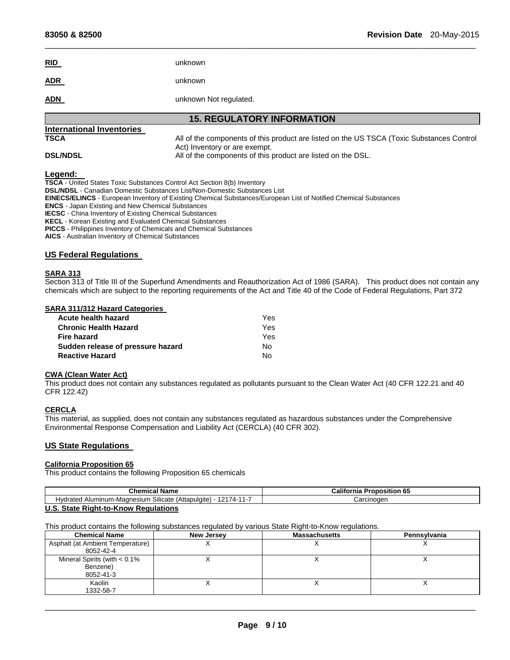| <u>RID</u> | unknown                |
|------------|------------------------|
| <b>ADR</b> | unknown                |
| <b>ADN</b> | unknown Not regulated. |

# **15. REGULATORY INFORMATION**

 $\Box$ 

# **International Inventories**

**TSCA** All of the components of this product are listed on the US TSCA (Toxic Substances Control Act) Inventory or are exempt. **DSL/NDSL All of the components of this product are listed on the DSL.** 

**Legend: TSCA** - United States Toxic Substances Control Act Section 8(b) Inventory **DSL/NDSL** - Canadian Domestic Substances List/Non-Domestic Substances List **EINECS/ELINCS** - European Inventory of Existing Chemical Substances/European List of Notified Chemical Substances **ENCS** - Japan Existing and New Chemical Substances **IECSC** - China Inventory of Existing Chemical Substances **KECL** - Korean Existing and Evaluated Chemical Substances **PICCS** - Philippines Inventory of Chemicals and Chemical Substances **AICS** - Australian Inventory of Chemical Substances

# **US Federal Regulations**

# **SARA 313**

Section 313 of Title III of the Superfund Amendments and Reauthorization Act of 1986 (SARA). This product does not contain any chemicals which are subject to the reporting requirements of the Act and Title 40 of the Code of Federal Regulations, Part 372

# **SARA 311/312 Hazard Categories**

| Yes. |
|------|
| Yes. |
| Yes. |
| No.  |
| N٥   |
|      |

#### **CWA (Clean Water Act)**

This product does not contain any substances regulated as pollutants pursuant to the Clean Water Act (40 CFR 122.21 and 40 CFR 122.42)

### **CERCLA**

This material, as supplied, does not contain any substances regulated as hazardous substances under the Comprehensive Environmental Response Compensation and Liability Act (CERCLA) (40 CFR 302).

# **US State Regulations**

# **California Proposition 65**

This product contains the following Proposition 65 chemicals

| Chemical<br>' Name                                                                                               | ∴alifor′<br>$\ddot{\phantom{0}}$<br><b>Proposition 6</b><br>TIIE |
|------------------------------------------------------------------------------------------------------------------|------------------------------------------------------------------|
| $\ddot{\,}$<br>$101 -$<br>(Attapulgite)<br>Silicate<br>→ Aluminum<br>∩-Magnesium<br>Hvdrater <sup>-</sup><br>74. | Carcınoɑen                                                       |
| $\mathbf{r}$<br>Clair Diabi in Kanu Damilations                                                                  |                                                                  |

#### **U.S. State Right-to-Know Regulations**

This product contains the following substances regulated by various State Right-to-Know regulations.

| <b>Chemical Name</b>             | <b>New Jersey</b> | <b>Massachusetts</b> | Pennsylvania |
|----------------------------------|-------------------|----------------------|--------------|
| Asphalt (at Ambient Temperature) |                   |                      |              |
| 8052-42-4                        |                   |                      |              |
| Mineral Spirits (with $< 0.1\%$  |                   |                      |              |
| Benzene)                         |                   |                      |              |
| 8052-41-3                        |                   |                      |              |
| Kaolin                           |                   |                      |              |
| 1332-58-7                        |                   |                      |              |